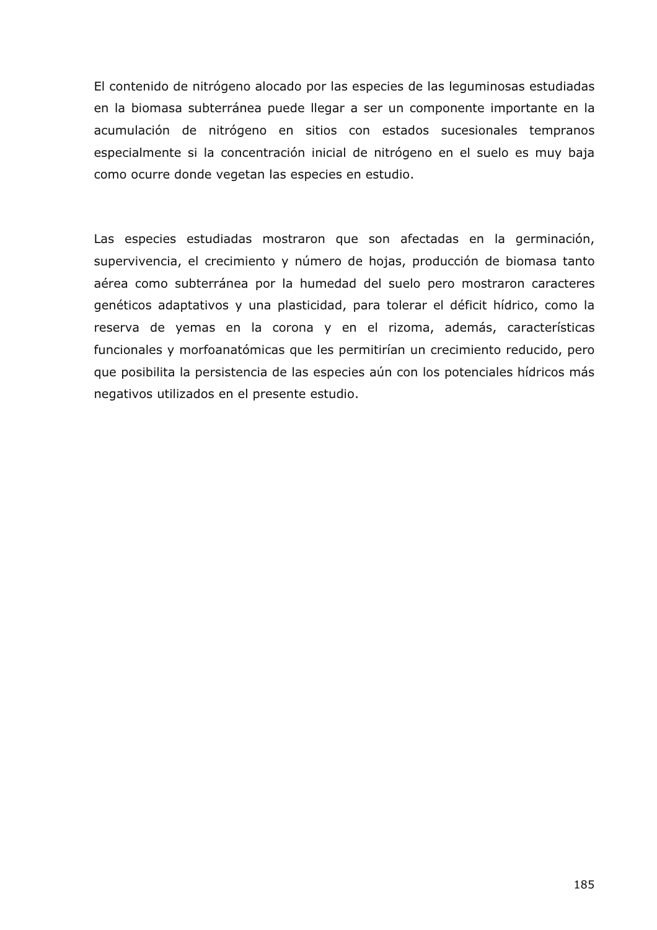El contenido de nitrógeno alocado por las especies de las leguminosas estudiadas en la biomasa subterránea puede llegar a ser un componente importante en la acumulación de nitrógeno en sitios con estados sucesionales tempranos especialmente si la concentración inicial de nitrógeno en el suelo es muy baja como ocurre donde vegetan las especies en estudio.

Las especies estudiadas mostraron que son afectadas en la germinación, supervivencia, el crecimiento y número de hojas, producción de biomasa tanto aérea como subterránea por la humedad del suelo pero mostraron caracteres genéticos adaptativos y una plasticidad, para tolerar el déficit hídrico, como la reserva de yemas en la corona y en el rizoma, además, características funcionales y morfoanatómicas que les permitirían un crecimiento reducido, pero que posibilita la persistencia de las especies aún con los potenciales hídricos más negativos utilizados en el presente estudio.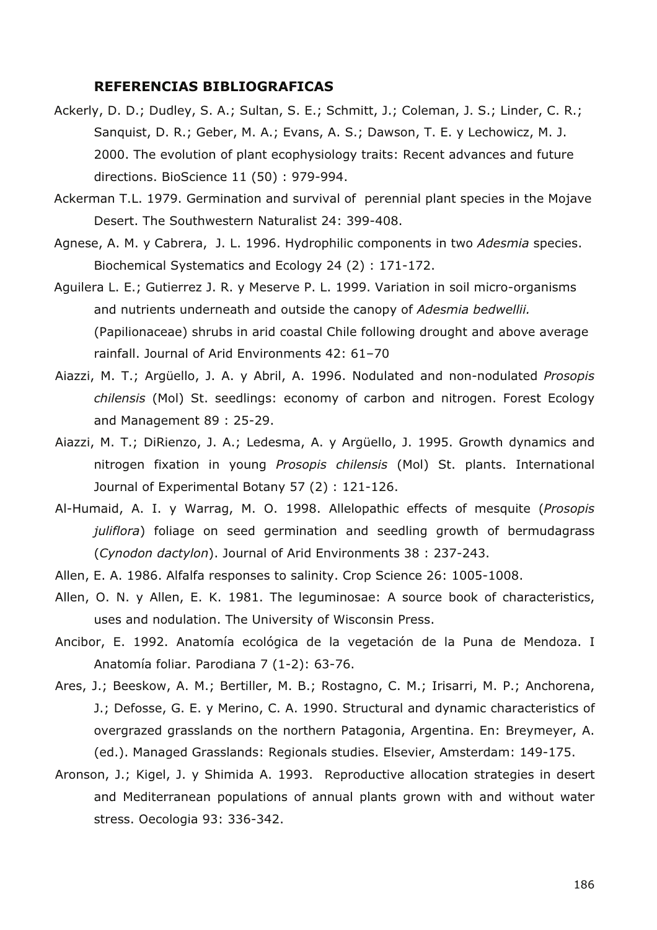## **REFERENCIAS BIBLIOGRAFICAS**

- Ackerly, D. D.; Dudley, S. A.; Sultan, S. E.; Schmitt, J.; Coleman, J. S.; Linder, C. R.; Sanquist, D. R.; Geber, M. A.; Evans, A. S.; Dawson, T. E. y Lechowicz, M. J. 2000. The evolution of plant ecophysiology traits: Recent advances and future directions. BioScience 11 (50) : 979-994.
- Ackerman T.L. 1979. Germination and survival of perennial plant species in the Mojave Desert. The Southwestern Naturalist 24: 399-408.
- Agnese, A. M. y Cabrera, J. L. 1996. Hydrophilic components in two *Adesmia* species. Biochemical Systematics and Ecology 24 (2) : 171-172.
- Aguilera L. E.; Gutierrez J. R. y Meserve P. L. 1999. Variation in soil micro-organisms and nutrients underneath and outside the canopy of *Adesmia bedwellii.* (Papilionaceae) shrubs in arid coastal Chile following drought and above average rainfall. Journal of Arid Environments 42: 61–70
- Aiazzi, M. T.; Argüello, J. A. y Abril, A. 1996. Nodulated and non-nodulated *Prosopis chilensis* (Mol) St. seedlings: economy of carbon and nitrogen. Forest Ecology and Management 89 : 25-29.
- Aiazzi, M. T.; DiRienzo, J. A.; Ledesma, A. y Argüello, J. 1995. Growth dynamics and nitrogen fixation in young *Prosopis chilensis* (Mol) St. plants. International Journal of Experimental Botany 57 (2) : 121-126.
- Al-Humaid, A. I. y Warrag, M. O. 1998. Allelopathic effects of mesquite (*Prosopis juliflora*) foliage on seed germination and seedling growth of bermudagrass (*Cynodon dactylon*). Journal of Arid Environments 38 : 237-243.
- Allen, E. A. 1986. Alfalfa responses to salinity. Crop Science 26: 1005-1008.
- Allen, O. N. y Allen, E. K. 1981. The leguminosae: A source book of characteristics, uses and nodulation. The University of Wisconsin Press.
- Ancibor, E. 1992. Anatomía ecológica de la vegetación de la Puna de Mendoza. I Anatomía foliar. Parodiana 7 (1-2): 63-76.
- Ares, J.; Beeskow, A. M.; Bertiller, M. B.; Rostagno, C. M.; Irisarri, M. P.; Anchorena, J.; Defosse, G. E. y Merino, C. A. 1990. Structural and dynamic characteristics of overgrazed grasslands on the northern Patagonia, Argentina. En: Breymeyer, A. (ed.). Managed Grasslands: Regionals studies. Elsevier, Amsterdam: 149-175.
- Aronson, J.; Kigel, J. y Shimida A. 1993. Reproductive allocation strategies in desert and Mediterranean populations of annual plants grown with and without water stress. Oecologia 93: 336-342.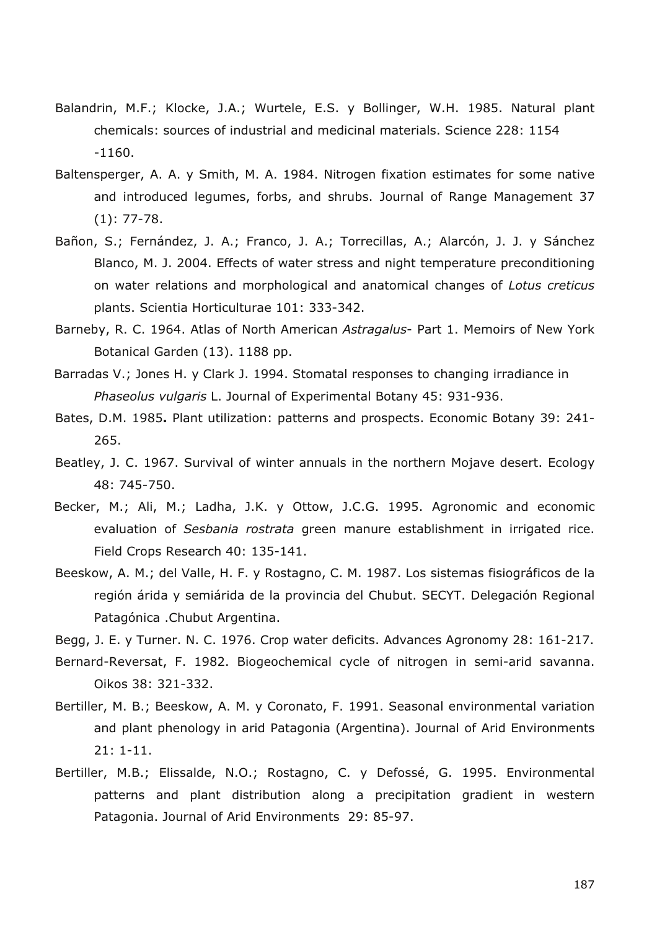- Balandrin, M.F.; Klocke, J.A.; Wurtele, E.S. y Bollinger, W.H. 1985. Natural plant chemicals: sources of industrial and medicinal materials. Science 228: 1154 -1160.
- Baltensperger, A. A. y Smith, M. A. 1984. Nitrogen fixation estimates for some native and introduced legumes, forbs, and shrubs. Journal of Range Management 37 (1): 77-78.
- Bañon, S.; Fernández, J. A.; Franco, J. A.; Torrecillas, A.; Alarcón, J. J. y Sánchez Blanco, M. J. 2004. Effects of water stress and night temperature preconditioning on water relations and morphological and anatomical changes of *Lotus creticus* plants. Scientia Horticulturae 101: 333-342.
- Barneby, R. C. 1964. Atlas of North American *Astragalus* Part 1. Memoirs of New York Botanical Garden (13). 1188 pp.
- Barradas V.; Jones H. y Clark J. 1994. Stomatal responses to changing irradiance in *Phaseolus vulgaris* L. Journal of Experimental Botany 45: 931-936.
- Bates, D.M. 1985**.** Plant utilization: patterns and prospects. Economic Botany 39: 241- 265.
- Beatley, J. C. 1967. Survival of winter annuals in the northern Mojave desert. Ecology 48: 745-750.
- Becker, M.; Ali, M.; Ladha, J.K. y Ottow, J.C.G. 1995. Agronomic and economic evaluation of *Sesbania rostrata* green manure establishment in irrigated rice. Field Crops Research 40: 135-141.
- Beeskow, A. M.; del Valle, H. F. y Rostagno, C. M. 1987. Los sistemas fisiográficos de la región árida y semiárida de la provincia del Chubut. SECYT. Delegación Regional Patagónica .Chubut Argentina.
- Begg, J. E. y Turner. N. C. 1976. Crop water deficits. Advances Agronomy 28: 161-217.
- Bernard-Reversat, F. 1982. Biogeochemical cycle of nitrogen in semi-arid savanna. Oikos 38: 321-332.
- Bertiller, M. B.; Beeskow, A. M. y Coronato, F. 1991. Seasonal environmental variation and plant phenology in arid Patagonia (Argentina). Journal of Arid Environments 21: 1-11.
- Bertiller, M.B.; Elissalde, N.O.; Rostagno, C. y Defossé, G. 1995. Environmental patterns and plant distribution along a precipitation gradient in western Patagonia. Journal of Arid Environments 29: 85-97.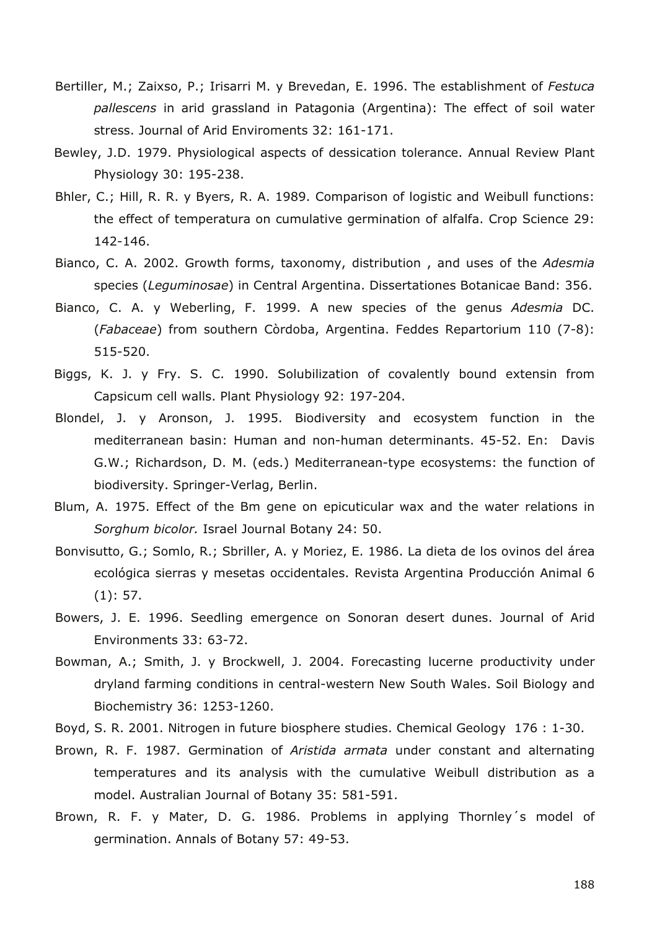- Bertiller, M.; Zaixso, P.; Irisarri M. y Brevedan, E. 1996. The establishment of *Festuca pallescens* in arid grassland in Patagonia (Argentina): The effect of soil water stress. Journal of Arid Enviroments 32: 161-171.
- Bewley, J.D. 1979. Physiological aspects of dessication tolerance. Annual Review Plant Physiology 30: 195-238.
- Bhler, C.; Hill, R. R. y Byers, R. A. 1989. Comparison of logistic and Weibull functions: the effect of temperatura on cumulative germination of alfalfa. Crop Science 29: 142-146.
- Bianco, C. A. 2002. Growth forms, taxonomy, distribution , and uses of the *Adesmia* species (*Leguminosae*) in Central Argentina. Dissertationes Botanicae Band: 356.
- Bianco, C. A. y Weberling, F. 1999. A new species of the genus *Adesmia* DC. (*Fabaceae*) from southern Còrdoba, Argentina. Feddes Repartorium 110 (7-8): 515-520.
- Biggs, K. J. y Fry. S. C. 1990. Solubilization of covalently bound extensin from Capsicum cell walls. Plant Physiology 92: 197-204.
- Blondel, J. y Aronson, J. 1995. Biodiversity and ecosystem function in the mediterranean basin: Human and non-human determinants. 45-52. En: Davis G.W.; Richardson, D. M. (eds.) Mediterranean-type ecosystems: the function of biodiversity. Springer-Verlag, Berlin.
- Blum, A. 1975. Effect of the Bm gene on epicuticular wax and the water relations in *Sorghum bicolor.* Israel Journal Botany 24: 50.
- Bonvisutto, G.; Somlo, R.; Sbriller, A. y Moriez, E. 1986. La dieta de los ovinos del área ecológica sierras y mesetas occidentales. Revista Argentina Producción Animal 6 (1): 57.
- Bowers, J. E. 1996. Seedling emergence on Sonoran desert dunes. Journal of Arid Environments 33: 63-72.
- Bowman, A.; Smith, J. y Brockwell, J. 2004. Forecasting lucerne productivity under dryland farming conditions in central-western New South Wales. Soil Biology and Biochemistry 36: 1253-1260.
- Boyd, S. R. 2001. Nitrogen in future biosphere studies. Chemical Geology 176 : 1-30.
- Brown, R. F. 1987. Germination of *Aristida armata* under constant and alternating temperatures and its analysis with the cumulative Weibull distribution as a model. Australian Journal of Botany 35: 581-591.
- Brown, R. F. y Mater, D. G. 1986. Problems in applying Thornley´s model of germination. Annals of Botany 57: 49-53.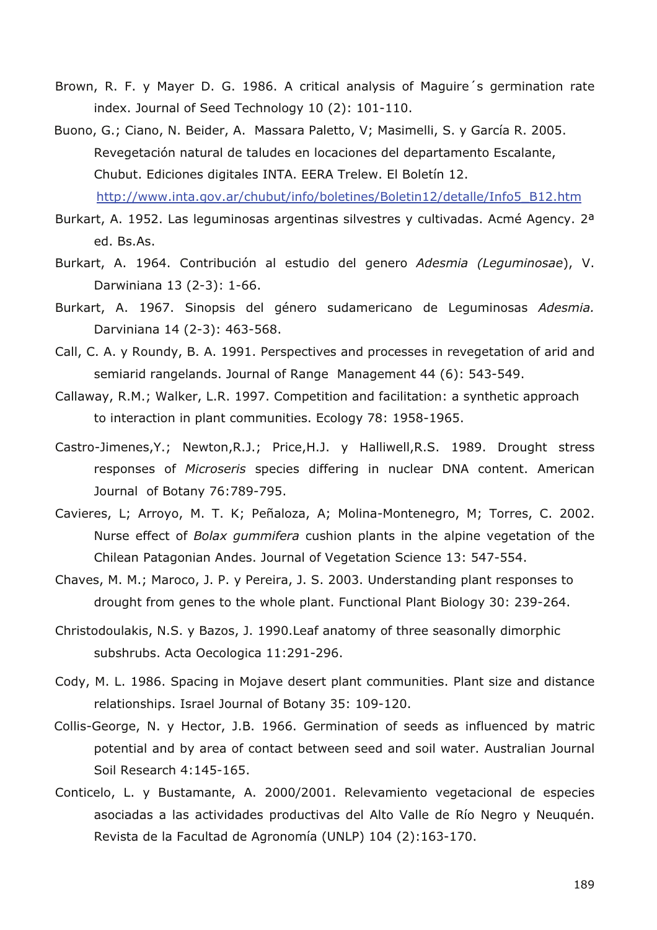- Brown, R. F. y Mayer D. G. 1986. A critical analysis of Maguire´s germination rate index. Journal of Seed Technology 10 (2): 101-110.
- Buono, G.; Ciano, N. Beider, A. Massara Paletto, V; Masimelli, S. y García R. 2005. Revegetación natural de taludes en locaciones del departamento Escalante, Chubut. Ediciones digitales INTA. EERA Trelew. El Boletín 12. http://www.inta.gov.ar/chubut/info/boletines/Boletin12/detalle/Info5\_B12.htm
- Burkart, A. 1952. Las leguminosas argentinas silvestres y cultivadas. Acmé Agency. 2<sup>a</sup> ed. Bs.As.
- Burkart, A. 1964. Contribución al estudio del genero *Adesmia (Leguminosae*), V. Darwiniana 13 (2-3): 1-66.
- Burkart, A. 1967. Sinopsis del género sudamericano de Leguminosas *Adesmia.* Darviniana 14 (2-3): 463-568.
- Call, C. A. y Roundy, B. A. 1991. Perspectives and processes in revegetation of arid and semiarid rangelands. Journal of Range Management 44 (6): 543-549.
- Callaway, R.M.; Walker, L.R. 1997. Competition and facilitation: a synthetic approach to interaction in plant communities. Ecology 78: 1958-1965.
- Castro-Jimenes,Y.; Newton,R.J.; Price,H.J. y Halliwell,R.S. 1989. Drought stress responses of *Microseris* species differing in nuclear DNA content. American Journal of Botany 76:789-795.
- Cavieres, L; Arroyo, M. T. K; Peñaloza, A; Molina-Montenegro, M; Torres, C. 2002. Nurse effect of *Bolax gummifera* cushion plants in the alpine vegetation of the Chilean Patagonian Andes. Journal of Vegetation Science 13: 547-554.
- Chaves, M. M.; Maroco, J. P. y Pereira, J. S. 2003. Understanding plant responses to drought from genes to the whole plant. Functional Plant Biology 30: 239-264.
- Christodoulakis, N.S. y Bazos, J. 1990.Leaf anatomy of three seasonally dimorphic subshrubs. Acta Oecologica 11:291-296.
- Cody, M. L. 1986. Spacing in Mojave desert plant communities. Plant size and distance relationships. Israel Journal of Botany 35: 109-120.
- Collis-George, N. y Hector, J.B. 1966. Germination of seeds as influenced by matric potential and by area of contact between seed and soil water. Australian Journal Soil Research 4:145-165.
- Conticelo, L. y Bustamante, A. 2000/2001. Relevamiento vegetacional de especies asociadas a las actividades productivas del Alto Valle de Río Negro y Neuquén. Revista de la Facultad de Agronomía (UNLP) 104 (2):163-170.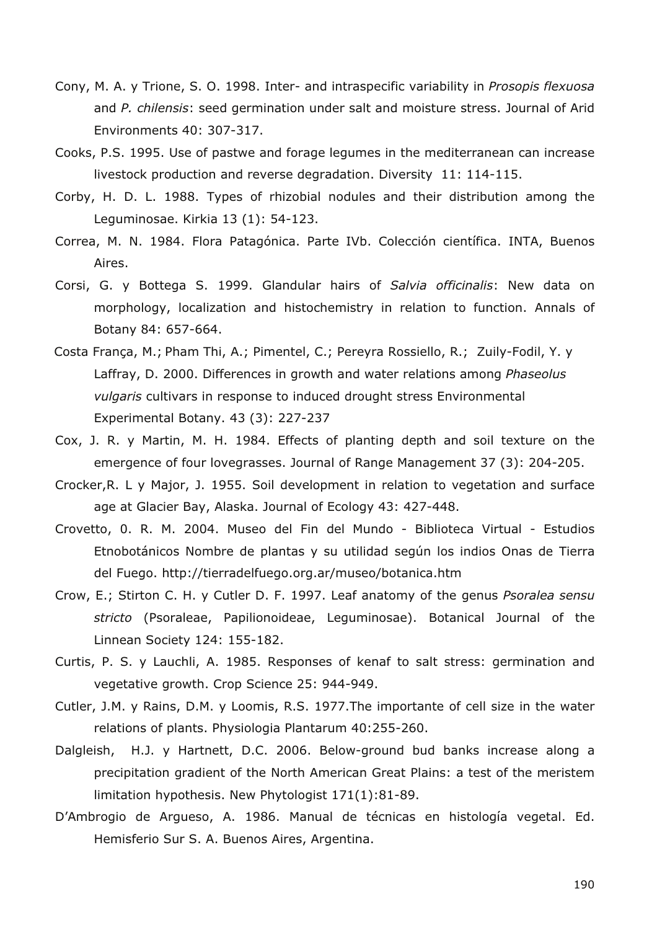- Cony, M. A. y Trione, S. O. 1998. Inter- and intraspecific variability in *Prosopis flexuosa* and *P. chilensis*: seed germination under salt and moisture stress. Journal of Arid Environments 40: 307-317.
- Cooks, P.S. 1995. Use of pastwe and forage legumes in the mediterranean can increase livestock production and reverse degradation. Diversity 11: 114-115.
- Corby, H. D. L. 1988. Types of rhizobial nodules and their distribution among the Leguminosae. Kirkia 13 (1): 54-123.
- Correa, M. N. 1984. Flora Patagónica. Parte IVb. Colección científica. INTA, Buenos Aires.
- Corsi, G. y Bottega S. 1999. Glandular hairs of *Salvia officinalis*: New data on morphology, localization and histochemistry in relation to function. Annals of Botany 84: 657-664.
- Costa França, M.; Pham Thi, A.; Pimentel, C.; Pereyra Rossiello, R.; Zuily-Fodil, Y. y Laffray, D. 2000. Differences in growth and water relations among *Phaseolus vulgaris* cultivars in response to induced drought stress Environmental Experimental Botany. 43 (3): 227-237
- Cox, J. R. y Martin, M. H. 1984. Effects of planting depth and soil texture on the emergence of four lovegrasses. Journal of Range Management 37 (3): 204-205.
- Crocker,R. L y Major, J. 1955. Soil development in relation to vegetation and surface age at Glacier Bay, Alaska. Journal of Ecology 43: 427-448.
- Crovetto, 0. R. M. 2004. Museo del Fin del Mundo Biblioteca Virtual Estudios Etnobotánicos Nombre de plantas y su utilidad según los indios Onas de Tierra del Fuego. http://tierradelfuego.org.ar/museo/botanica.htm
- Crow, E.; Stirton C. H. y Cutler D. F. 1997. Leaf anatomy of the genus *Psoralea sensu stricto* (Psoraleae, Papilionoideae, Leguminosae). Botanical Journal of the Linnean Society 124: 155-182.
- Curtis, P. S. y Lauchli, A. 1985. Responses of kenaf to salt stress: germination and vegetative growth. Crop Science 25: 944-949.
- Cutler, J.M. y Rains, D.M. y Loomis, R.S. 1977.The importante of cell size in the water relations of plants. Physiologia Plantarum 40:255-260.
- Dalgleish, H.J. y Hartnett, D.C. 2006. Below-ground bud banks increase along a precipitation gradient of the North American Great Plains: a test of the meristem limitation hypothesis. New Phytologist 171(1):81-89.
- D'Ambrogio de Argueso, A. 1986. Manual de técnicas en histología vegetal. Ed. Hemisferio Sur S. A. Buenos Aires, Argentina.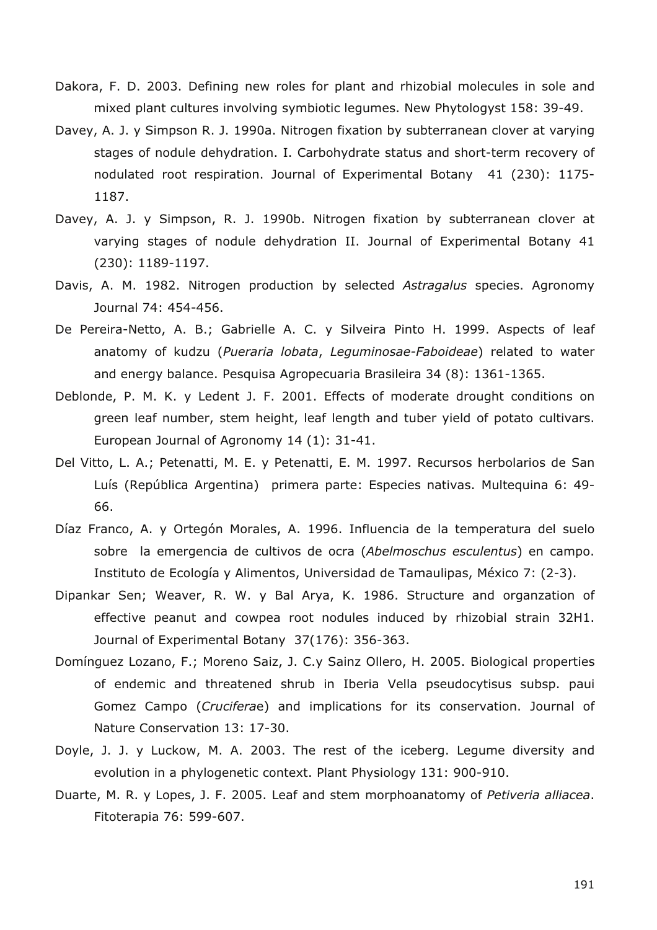- Dakora, F. D. 2003. Defining new roles for plant and rhizobial molecules in sole and mixed plant cultures involving symbiotic legumes. New Phytologyst 158: 39-49.
- Davey, A. J. y Simpson R. J. 1990a. Nitrogen fixation by subterranean clover at varying stages of nodule dehydration. I. Carbohydrate status and short-term recovery of nodulated root respiration. Journal of Experimental Botany 41 (230): 1175- 1187.
- Davey, A. J. y Simpson, R. J. 1990b. Nitrogen fixation by subterranean clover at varying stages of nodule dehydration II. Journal of Experimental Botany 41 (230): 1189-1197.
- Davis, A. M. 1982. Nitrogen production by selected *Astragalus* species. Agronomy Journal 74: 454-456.
- De Pereira-Netto, A. B.; Gabrielle A. C. y Silveira Pinto H. 1999. Aspects of leaf anatomy of kudzu (*Pueraria lobata*, *Leguminosae-Faboideae*) related to water and energy balance. Pesquisa Agropecuaria Brasileira 34 (8): 1361-1365.
- Deblonde, P. M. K. y Ledent J. F. 2001. Effects of moderate drought conditions on green leaf number, stem height, leaf length and tuber yield of potato cultivars. European Journal of Agronomy 14 (1): 31-41.
- Del Vitto, L. A.; Petenatti, M. E. y Petenatti, E. M. 1997. Recursos herbolarios de San Luís (República Argentina) primera parte: Especies nativas. Multequina 6: 49- 66.
- Díaz Franco, A. y Ortegón Morales, A. 1996. Influencia de la temperatura del suelo sobre la emergencia de cultivos de ocra (*Abelmoschus esculentus*) en campo. Instituto de Ecología y Alimentos, Universidad de Tamaulipas, México 7: (2-3).
- Dipankar Sen; Weaver, R. W. y Bal Arya, K. 1986. Structure and organzation of effective peanut and cowpea root nodules induced by rhizobial strain 32H1. Journal of Experimental Botany 37(176): 356-363.
- Domínguez Lozano, F.; Moreno Saiz, J. C.y Sainz Ollero, H. 2005. Biological properties of endemic and threatened shrub in Iberia Vella pseudocytisus subsp. paui Gomez Campo (*Crucifera*e) and implications for its conservation. Journal of Nature Conservation 13: 17-30.
- Doyle, J. J. y Luckow, M. A. 2003. The rest of the iceberg. Legume diversity and evolution in a phylogenetic context. Plant Physiology 131: 900-910.
- Duarte, M. R. y Lopes, J. F. 2005. Leaf and stem morphoanatomy of *Petiveria alliacea*. Fitoterapia 76: 599-607.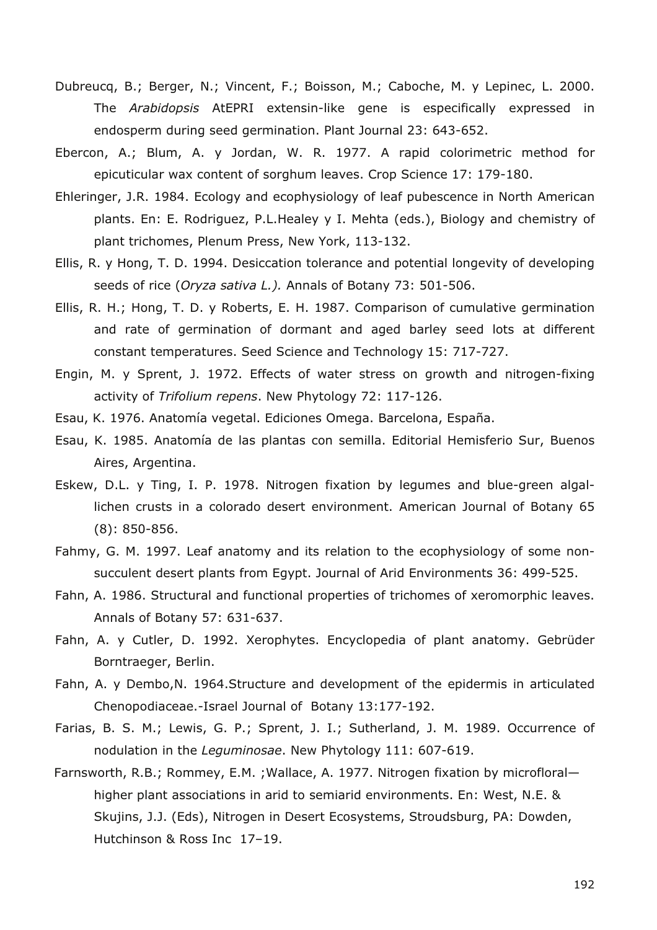- Dubreucq, B.; Berger, N.; Vincent, F.; Boisson, M.; Caboche, M. y Lepinec, L. 2000. The *Arabidopsis* AtEPRI extensin-like gene is especifically expressed in endosperm during seed germination. Plant Journal 23: 643-652.
- Ebercon, A.; Blum, A. y Jordan, W. R. 1977. A rapid colorimetric method for epicuticular wax content of sorghum leaves. Crop Science 17: 179-180.
- Ehleringer, J.R. 1984. Ecology and ecophysiology of leaf pubescence in North American plants. En: E. Rodriguez, P.L.Healey y I. Mehta (eds.), Biology and chemistry of plant trichomes, Plenum Press, New York, 113-132.
- Ellis, R. y Hong, T. D. 1994. Desiccation tolerance and potential longevity of developing seeds of rice (*Oryza sativa L.).* Annals of Botany 73: 501-506.
- Ellis, R. H.; Hong, T. D. y Roberts, E. H. 1987. Comparison of cumulative germination and rate of germination of dormant and aged barley seed lots at different constant temperatures. Seed Science and Technology 15: 717-727.
- Engin, M. y Sprent, J. 1972. Effects of water stress on growth and nitrogen-fixing activity of *Trifolium repens*. New Phytology 72: 117-126.
- Esau, K. 1976. Anatomía vegetal. Ediciones Omega. Barcelona, España.
- Esau, K. 1985. Anatomía de las plantas con semilla. Editorial Hemisferio Sur, Buenos Aires, Argentina.
- Eskew, D.L. y Ting, I. P. 1978. Nitrogen fixation by legumes and blue-green algallichen crusts in a colorado desert environment. American Journal of Botany 65 (8): 850-856.
- Fahmy, G. M. 1997. Leaf anatomy and its relation to the ecophysiology of some nonsucculent desert plants from Egypt. Journal of Arid Environments 36: 499-525.
- Fahn, A. 1986. Structural and functional properties of trichomes of xeromorphic leaves. Annals of Botany 57: 631-637.
- Fahn, A. y Cutler, D. 1992. Xerophytes. Encyclopedia of plant anatomy. Gebrüder Borntraeger, Berlin.
- Fahn, A. y Dembo,N. 1964.Structure and development of the epidermis in articulated Chenopodiaceae.-Israel Journal of Botany 13:177-192.
- Farias, B. S. M.; Lewis, G. P.; Sprent, J. I.; Sutherland, J. M. 1989. Occurrence of nodulation in the *Leguminosae*. New Phytology 111: 607-619.
- Farnsworth, R.B.; Rommey, E.M. ;Wallace, A. 1977. Nitrogen fixation by microfloral higher plant associations in arid to semiarid environments. En: West, N.E. & Skujins, J.J. (Eds), Nitrogen in Desert Ecosystems, Stroudsburg, PA: Dowden, Hutchinson & Ross Inc 17–19.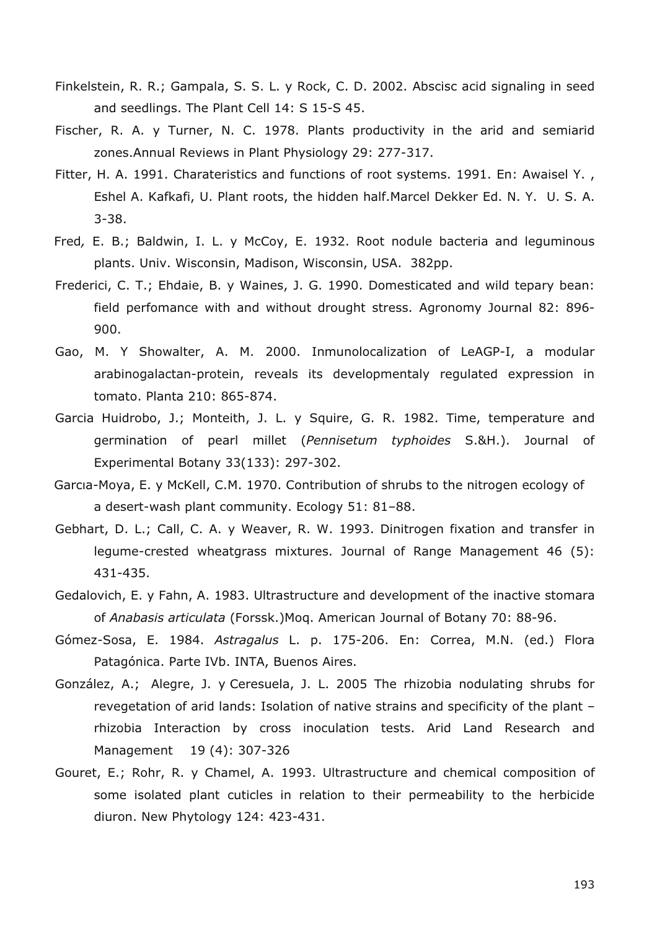- Finkelstein, R. R.; Gampala, S. S. L. y Rock, C. D. 2002. Abscisc acid signaling in seed and seedlings. The Plant Cell 14: S 15-S 45.
- Fischer, R. A. y Turner, N. C. 1978. Plants productivity in the arid and semiarid zones.Annual Reviews in Plant Physiology 29: 277-317.
- Fitter, H. A. 1991. Charateristics and functions of root systems. 1991. En: Awaisel Y., Eshel A. Kafkafi, U. Plant roots, the hidden half.Marcel Dekker Ed. N. Y. U. S. A. 3-38.
- Fred*,* E. B.; Baldwin, I. L. y McCoy, E. 1932. Root nodule bacteria and leguminous plants. Univ. Wisconsin, Madison, Wisconsin, USA. 382pp.
- Frederici, C. T.; Ehdaie, B. y Waines, J. G. 1990. Domesticated and wild tepary bean: field perfomance with and without drought stress. Agronomy Journal 82: 896- 900.
- Gao, M. Y Showalter, A. M. 2000. Inmunolocalization of LeAGP-I, a modular arabinogalactan-protein, reveals its developmentaly regulated expression in tomato. Planta 210: 865-874.
- Garcia Huidrobo, J.; Monteith, J. L. y Squire, G. R. 1982. Time, temperature and germination of pearl millet (*Pennisetum typhoides* S.&H.). Journal of Experimental Botany 33(133): 297-302.
- Garcia-Moya, E. y McKell, C.M. 1970. Contribution of shrubs to the nitrogen ecology of a desert-wash plant community. Ecology 51: 81–88.
- Gebhart, D. L.; Call, C. A. y Weaver, R. W. 1993. Dinitrogen fixation and transfer in legume-crested wheatgrass mixtures. Journal of Range Management 46 (5): 431-435.
- Gedalovich, E. y Fahn, A. 1983. Ultrastructure and development of the inactive stomara of *Anabasis articulata* (Forssk.)Moq. American Journal of Botany 70: 88-96.
- Gómez-Sosa, E. 1984. *Astragalus* L. p. 175-206. En: Correa, M.N. (ed.) Flora Patagónica. Parte IVb. INTA, Buenos Aires.
- González, A.; Alegre, J. y Ceresuela, J. L. 2005 The rhizobia nodulating shrubs for revegetation of arid lands: Isolation of native strains and specificity of the plant – rhizobia Interaction by cross inoculation tests. Arid Land Research and Management 19 (4): 307-326
- Gouret, E.; Rohr, R. y Chamel, A. 1993. Ultrastructure and chemical composition of some isolated plant cuticles in relation to their permeability to the herbicide diuron. New Phytology 124: 423-431.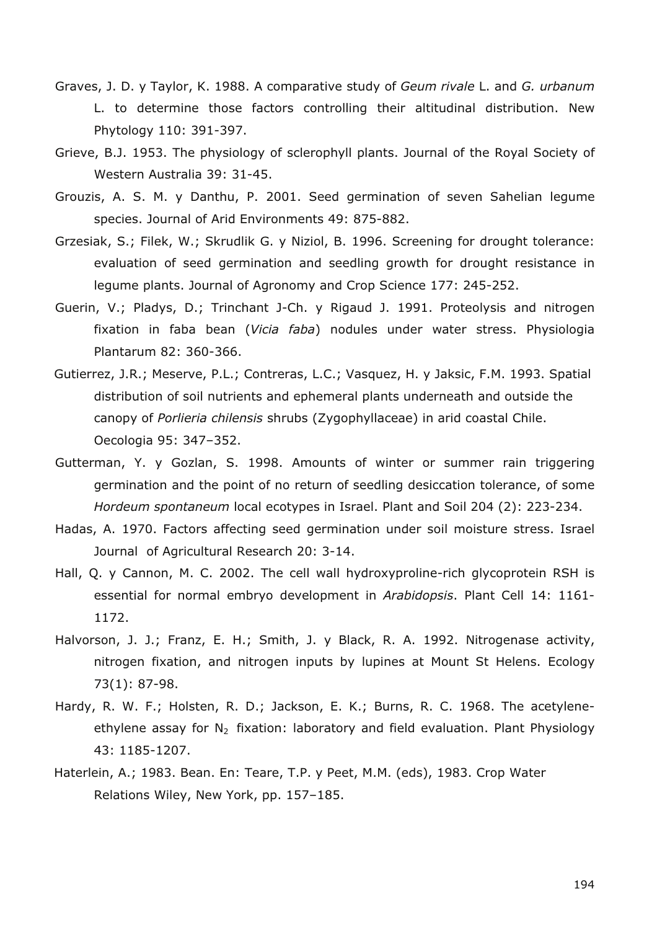- Graves, J. D. y Taylor, K. 1988. A comparative study of *Geum rivale* L. and *G. urbanum* L. to determine those factors controlling their altitudinal distribution. New Phytology 110: 391-397.
- Grieve, B.J. 1953. The physiology of sclerophyll plants. Journal of the Royal Society of Western Australia 39: 31-45.
- Grouzis, A. S. M. y Danthu, P. 2001. Seed germination of seven Sahelian legume species. Journal of Arid Environments 49: 875-882.
- Grzesiak, S.; Filek, W.; Skrudlik G. y Niziol, B. 1996. Screening for drought tolerance: evaluation of seed germination and seedling growth for drought resistance in legume plants. Journal of Agronomy and Crop Science 177: 245-252.
- Guerin, V.; Pladys, D.; Trinchant J-Ch. y Rigaud J. 1991. Proteolysis and nitrogen fixation in faba bean (*Vicia faba*) nodules under water stress. Physiologia Plantarum 82: 360-366.
- Gutierrez, J.R.; Meserve, P.L.; Contreras, L.C.; Vasquez, H. y Jaksic, F.M. 1993. Spatial distribution of soil nutrients and ephemeral plants underneath and outside the canopy of *Porlieria chilensis* shrubs (Zygophyllaceae) in arid coastal Chile. Oecologia 95: 347–352.
- Gutterman, Y. y Gozlan, S. 1998. Amounts of winter or summer rain triggering germination and the point of no return of seedling desiccation tolerance, of some *Hordeum spontaneum* local ecotypes in Israel. Plant and Soil 204 (2): 223-234.
- Hadas, A. 1970. Factors affecting seed germination under soil moisture stress. Israel Journal of Agricultural Research 20: 3-14.
- Hall, Q. y Cannon, M. C. 2002. The cell wall hydroxyproline-rich glycoprotein RSH is essential for normal embryo development in *Arabidopsis*. Plant Cell 14: 1161- 1172.
- Halvorson, J. J.; Franz, E. H.; Smith, J. y Black, R. A. 1992. Nitrogenase activity, nitrogen fixation, and nitrogen inputs by lupines at Mount St Helens. Ecology 73(1): 87-98.
- Hardy, R. W. F.; Holsten, R. D.; Jackson, E. K.; Burns, R. C. 1968. The acetyleneethylene assay for  $N_2$  fixation: laboratory and field evaluation. Plant Physiology 43: 1185-1207.
- Haterlein, A.; 1983. Bean. En: Teare, T.P. y Peet, M.M. (eds), 1983. Crop Water Relations Wiley, New York, pp. 157–185.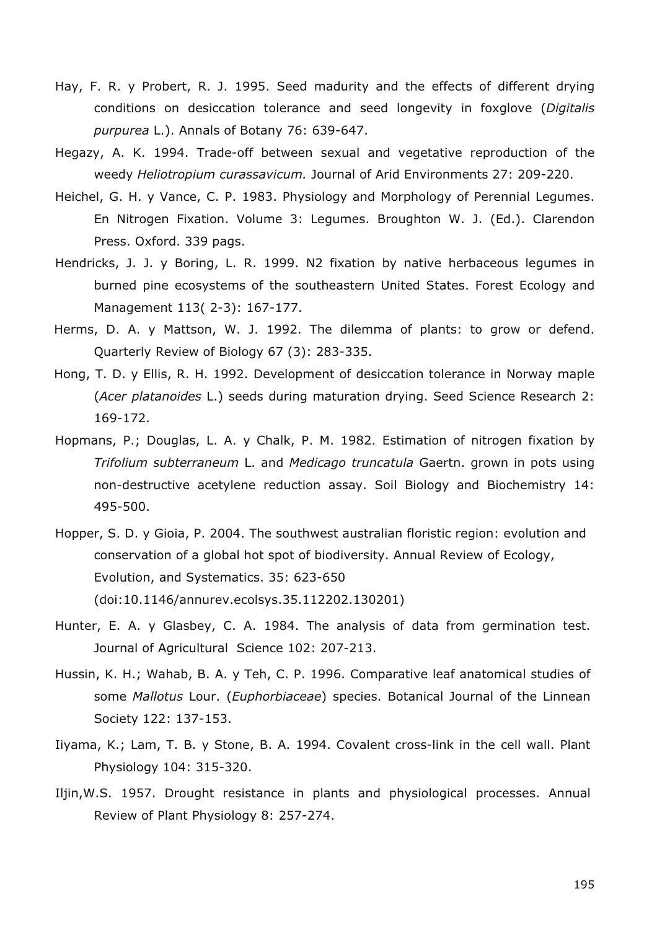- Hay, F. R. y Probert, R. J. 1995. Seed madurity and the effects of different drying conditions on desiccation tolerance and seed longevity in foxglove (*Digitalis purpurea* L.). Annals of Botany 76: 639-647.
- Hegazy, A. K. 1994. Trade-off between sexual and vegetative reproduction of the weedy *Heliotropium curassavicum.* Journal of Arid Environments 27: 209-220.
- Heichel, G. H. y Vance, C. P. 1983. Physiology and Morphology of Perennial Legumes. En Nitrogen Fixation. Volume 3: Legumes. Broughton W. J. (Ed.). Clarendon Press. Oxford. 339 pags.
- Hendricks, J. J. y Boring, L. R. 1999. N2 fixation by native herbaceous legumes in burned pine ecosystems of the southeastern United States. Forest Ecology and Management 113( 2-3): 167-177.
- Herms, D. A. y Mattson, W. J. 1992. The dilemma of plants: to grow or defend. Quarterly Review of Biology 67 (3): 283-335.
- Hong, T. D. y Ellis, R. H. 1992. Development of desiccation tolerance in Norway maple (*Acer platanoides* L.) seeds during maturation drying. Seed Science Research 2: 169-172.
- Hopmans, P.; Douglas, L. A. y Chalk, P. M. 1982. Estimation of nitrogen fixation by *Trifolium subterraneum* L. and *Medicago truncatula* Gaertn. grown in pots using non-destructive acetylene reduction assay. Soil Biology and Biochemistry 14: 495-500.
- Hopper, S. D. y Gioia, P. 2004. The southwest australian floristic region: evolution and conservation of a global hot spot of biodiversity. Annual Review of Ecology, Evolution, and Systematics. 35: 623-650 (doi:10.1146/annurev.ecolsys.35.112202.130201)
- Hunter, E. A. y Glasbey, C. A. 1984. The analysis of data from germination test. Journal of Agricultural Science 102: 207-213.
- Hussin, K. H.; Wahab, B. A. y Teh, C. P. 1996. Comparative leaf anatomical studies of some *Mallotus* Lour. (*Euphorbiaceae*) species. Botanical Journal of the Linnean Society 122: 137-153.
- Iiyama, K.; Lam, T. B. y Stone, B. A. 1994. Covalent cross-link in the cell wall. Plant Physiology 104: 315-320.
- Iljin,W.S. 1957. Drought resistance in plants and physiological processes. Annual Review of Plant Physiology 8: 257-274.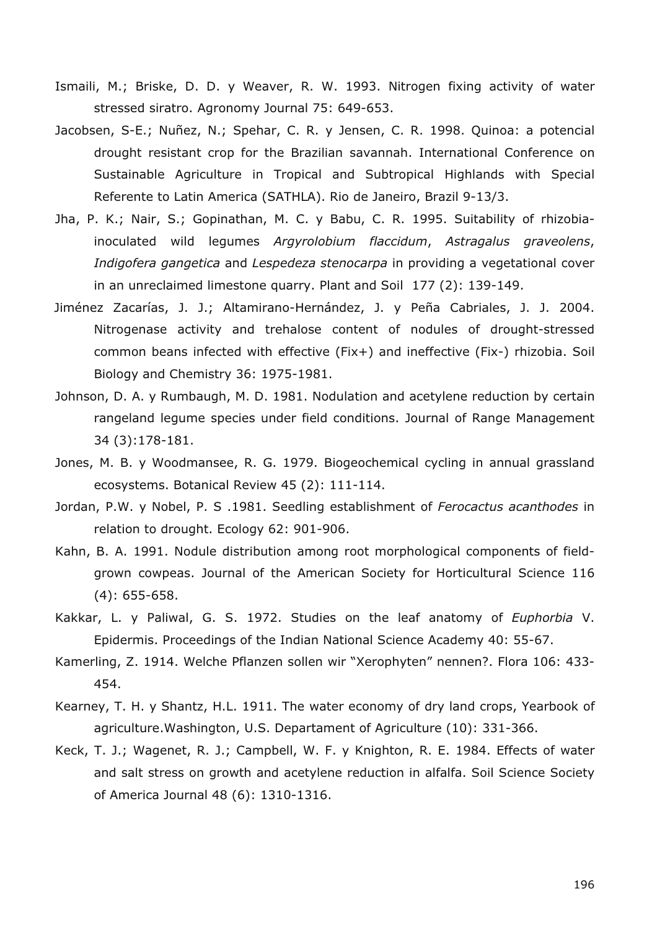- Ismaili, M.; Briske, D. D. y Weaver, R. W. 1993. Nitrogen fixing activity of water stressed siratro. Agronomy Journal 75: 649-653.
- Jacobsen, S-E.; Nuñez, N.; Spehar, C. R. y Jensen, C. R. 1998. Quinoa: a potencial drought resistant crop for the Brazilian savannah. International Conference on Sustainable Agriculture in Tropical and Subtropical Highlands with Special Referente to Latin America (SATHLA). Rio de Janeiro, Brazil 9-13/3.
- Jha, P. K.; Nair, S.; Gopinathan, M. C. y Babu, C. R. 1995. Suitability of rhizobiainoculated wild legumes *Argyrolobium flaccidum*, *Astragalus graveolens*, *Indigofera gangetica* and *Lespedeza stenocarpa* in providing a vegetational cover in an unreclaimed limestone quarry. Plant and Soil 177 (2): 139-149.
- Jiménez Zacarías, J. J.; Altamirano-Hernández, J. y Peña Cabriales, J. J. 2004. Nitrogenase activity and trehalose content of nodules of drought-stressed common beans infected with effective (Fix+) and ineffective (Fix-) rhizobia. Soil Biology and Chemistry 36: 1975-1981.
- Johnson, D. A. y Rumbaugh, M. D. 1981. Nodulation and acetylene reduction by certain rangeland legume species under field conditions. Journal of Range Management 34 (3):178-181.
- Jones, M. B. y Woodmansee, R. G. 1979. Biogeochemical cycling in annual grassland ecosystems. Botanical Review 45 (2): 111-114.
- Jordan, P.W. y Nobel, P. S .1981. Seedling establishment of *Ferocactus acanthodes* in relation to drought. Ecology 62: 901-906.
- Kahn, B. A. 1991. Nodule distribution among root morphological components of fieldgrown cowpeas. Journal of the American Society for Horticultural Science 116 (4): 655-658.
- Kakkar, L. y Paliwal, G. S. 1972. Studies on the leaf anatomy of *Euphorbia* V. Epidermis. Proceedings of the Indian National Science Academy 40: 55-67.
- Kamerling, Z. 1914. Welche Pflanzen sollen wir "Xerophyten" nennen?. Flora 106: 433- 454.
- Kearney, T. H. y Shantz, H.L. 1911. The water economy of dry land crops, Yearbook of agriculture.Washington, U.S. Departament of Agriculture (10): 331-366.
- Keck, T. J.; Wagenet, R. J.; Campbell, W. F. y Knighton, R. E. 1984. Effects of water and salt stress on growth and acetylene reduction in alfalfa. Soil Science Society of America Journal 48 (6): 1310-1316.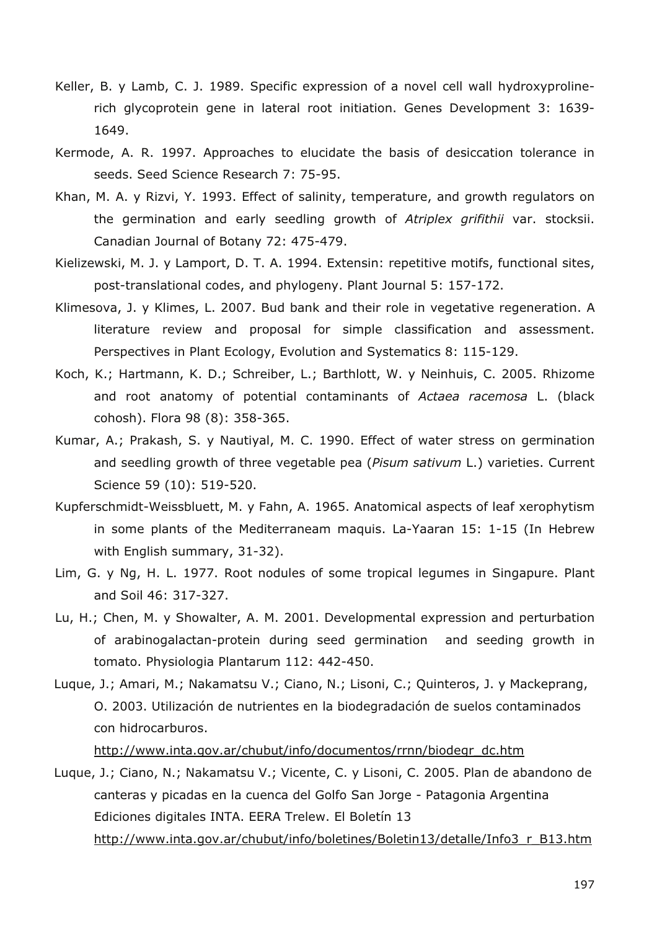- Keller, B. y Lamb, C. J. 1989. Specific expression of a novel cell wall hydroxyprolinerich glycoprotein gene in lateral root initiation. Genes Development 3: 1639- 1649.
- Kermode, A. R. 1997. Approaches to elucidate the basis of desiccation tolerance in seeds. Seed Science Research 7: 75-95.
- Khan, M. A. y Rizvi, Y. 1993. Effect of salinity, temperature, and growth regulators on the germination and early seedling growth of *Atriplex grifithii* var. stocksii. Canadian Journal of Botany 72: 475-479.
- Kielizewski, M. J. y Lamport, D. T. A. 1994. Extensin: repetitive motifs, functional sites, post-translational codes, and phylogeny. Plant Journal 5: 157-172.
- Klimesova, J. y Klimes, L. 2007. Bud bank and their role in vegetative regeneration. A literature review and proposal for simple classification and assessment. Perspectives in Plant Ecology, Evolution and Systematics 8: 115-129.
- Koch, K.; Hartmann, K. D.; Schreiber, L.; Barthlott, W. y Neinhuis, C. 2005. Rhizome and root anatomy of potential contaminants of *Actaea racemosa* L. (black cohosh). Flora 98 (8): 358-365.
- Kumar, A.; Prakash, S. y Nautiyal, M. C. 1990. Effect of water stress on germination and seedling growth of three vegetable pea (*Pisum sativum* L.) varieties. Current Science 59 (10): 519-520.
- Kupferschmidt-Weissbluett, M. y Fahn, A. 1965. Anatomical aspects of leaf xerophytism in some plants of the Mediterraneam maquis. La-Yaaran 15: 1-15 (In Hebrew with English summary, 31-32).
- Lim, G. y Ng, H. L. 1977. Root nodules of some tropical legumes in Singapure. Plant and Soil 46: 317-327.
- Lu, H.; Chen, M. y Showalter, A. M. 2001. Developmental expression and perturbation of arabinogalactan-protein during seed germination and seeding growth in tomato. Physiologia Plantarum 112: 442-450.
- Luque, J.; Amari, M.; Nakamatsu V.; Ciano, N.; Lisoni, C.; Quinteros, J. y Mackeprang, O. 2003. Utilización de nutrientes en la biodegradación de suelos contaminados con hidrocarburos.

http://www.inta.gov.ar/chubut/info/documentos/rrnn/biodegr\_dc.htm

Luque, J.; Ciano, N.; Nakamatsu V.; Vicente, C. y Lisoni, C. 2005. Plan de abandono de canteras y picadas en la cuenca del Golfo San Jorge - Patagonia Argentina Ediciones digitales INTA. EERA Trelew. El Boletín 13 http://www.inta.gov.ar/chubut/info/boletines/Boletin13/detalle/Info3\_r\_B13.htm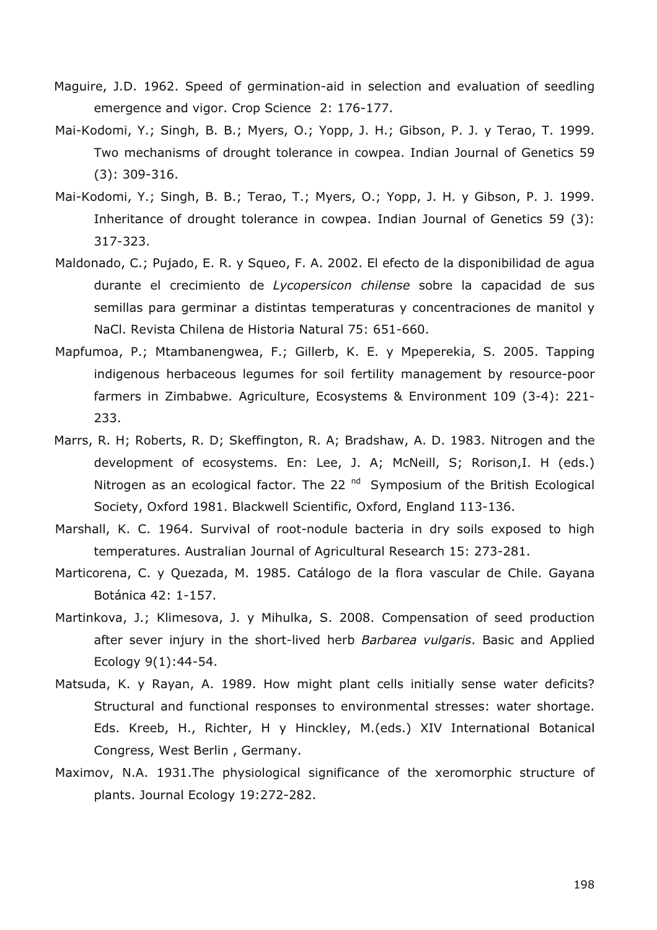- Maguire, J.D. 1962. Speed of germination-aid in selection and evaluation of seedling emergence and vigor. Crop Science 2: 176-177.
- Mai-Kodomi, Y.; Singh, B. B.; Myers, O.; Yopp, J. H.; Gibson, P. J. y Terao, T. 1999. Two mechanisms of drought tolerance in cowpea. Indian Journal of Genetics 59 (3): 309-316.
- Mai-Kodomi, Y.; Singh, B. B.; Terao, T.; Myers, O.; Yopp, J. H. y Gibson, P. J. 1999. Inheritance of drought tolerance in cowpea. Indian Journal of Genetics 59 (3): 317-323.
- Maldonado, C.; Pujado, E. R. y Squeo, F. A. 2002. El efecto de la disponibilidad de agua durante el crecimiento de *Lycopersicon chilense* sobre la capacidad de sus semillas para germinar a distintas temperaturas y concentraciones de manitol y NaCl. Revista Chilena de Historia Natural 75: 651-660.
- Mapfumoa, P.; Mtambanengwea, F.; Gillerb, K. E. y Mpeperekia, S. 2005. Tapping indigenous herbaceous legumes for soil fertility management by resource-poor farmers in Zimbabwe. Agriculture, Ecosystems & Environment 109 (3-4): 221- 233.
- Marrs, R. H; Roberts, R. D; Skeffington, R. A; Bradshaw, A. D. 1983. Nitrogen and the development of ecosystems. En: Lee, J. A; McNeill, S; Rorison,I. H (eds.) Nitrogen as an ecological factor. The 22  $<sup>nd</sup>$  Symposium of the British Ecological</sup> Society, Oxford 1981. Blackwell Scientific, Oxford, England 113-136.
- Marshall, K. C. 1964. Survival of root-nodule bacteria in dry soils exposed to high temperatures. Australian Journal of Agricultural Research 15: 273-281.
- Marticorena, C. y Quezada, M. 1985. Catálogo de la flora vascular de Chile. Gayana Botánica 42: 1-157.
- Martinkova, J.; Klimesova, J. y Mihulka, S. 2008. Compensation of seed production after sever injury in the short-lived herb *Barbarea vulgaris*. Basic and Applied Ecology 9(1):44-54.
- Matsuda, K. y Rayan, A. 1989. How might plant cells initially sense water deficits? Structural and functional responses to environmental stresses: water shortage. Eds. Kreeb, H., Richter, H y Hinckley, M.(eds.) XIV International Botanical Congress, West Berlin , Germany.
- Maximov, N.A. 1931.The physiological significance of the xeromorphic structure of plants. Journal Ecology 19:272-282.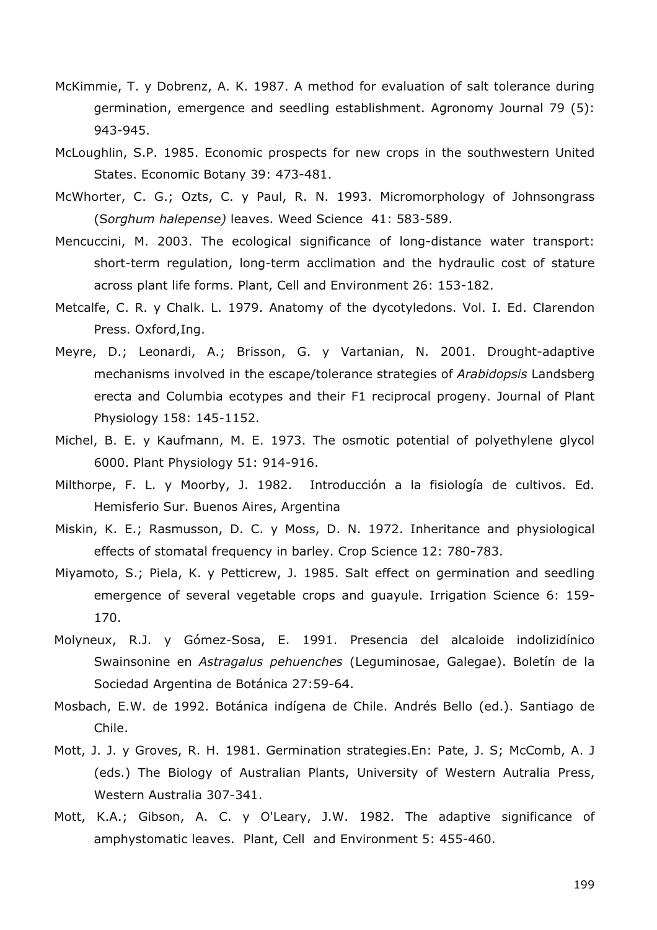- McKimmie, T. y Dobrenz, A. K. 1987. A method for evaluation of salt tolerance during germination, emergence and seedling establishment. Agronomy Journal 79 (5): 943-945.
- McLoughlin, S.P. 1985. Economic prospects for new crops in the southwestern United States. Economic Botany 39: 473-481.
- McWhorter, C. G.; Ozts, C. y Paul, R. N. 1993. Micromorphology of Johnsongrass (S*orghum halepense)* leaves. Weed Science 41: 583-589.
- Mencuccini, M. 2003. The ecological significance of long-distance water transport: short-term regulation, long-term acclimation and the hydraulic cost of stature across plant life forms. Plant, Cell and Environment 26: 153-182.
- Metcalfe, C. R. y Chalk. L. 1979. Anatomy of the dycotyledons. Vol. I. Ed. Clarendon Press. Oxford,Ing.
- Meyre, D.; Leonardi, A.; Brisson, G. y Vartanian, N. 2001. Drought-adaptive mechanisms involved in the escape/tolerance strategies of *Arabidopsis* Landsberg erecta and Columbia ecotypes and their F1 reciprocal progeny. Journal of Plant Physiology 158: 145-1152.
- Michel, B. E. y Kaufmann, M. E. 1973. The osmotic potential of polyethylene glycol 6000. Plant Physiology 51: 914-916.
- Milthorpe, F. L. y Moorby, J. 1982. Introducción a la fisiología de cultivos. Ed. Hemisferio Sur. Buenos Aires, Argentina
- Miskin, K. E.; Rasmusson, D. C. y Moss, D. N. 1972. Inheritance and physiological effects of stomatal frequency in barley. Crop Science 12: 780-783.
- Miyamoto, S.; Piela, K. y Petticrew, J. 1985. Salt effect on germination and seedling emergence of several vegetable crops and guayule. Irrigation Science 6: 159- 170.
- Molyneux, R.J. y Gómez-Sosa, E. 1991. Presencia del alcaloide indolizidínico Swainsonine en *Astragalus pehuenches* (Leguminosae, Galegae). Boletín de la Sociedad Argentina de Botánica 27:59-64.
- Mosbach, E.W. de 1992. Botánica indígena de Chile. Andrés Bello (ed.). Santiago de Chile.
- Mott, J. J. y Groves, R. H. 1981. Germination strategies.En: Pate, J. S; McComb, A. J (eds.) The Biology of Australian Plants, University of Western Autralia Press, Western Australia 307-341.
- Mott, K.A.; Gibson, A. C. y O'Leary, J.W. 1982. The adaptive significance of amphystomatic leaves. Plant, Cell and Environment 5: 455-460.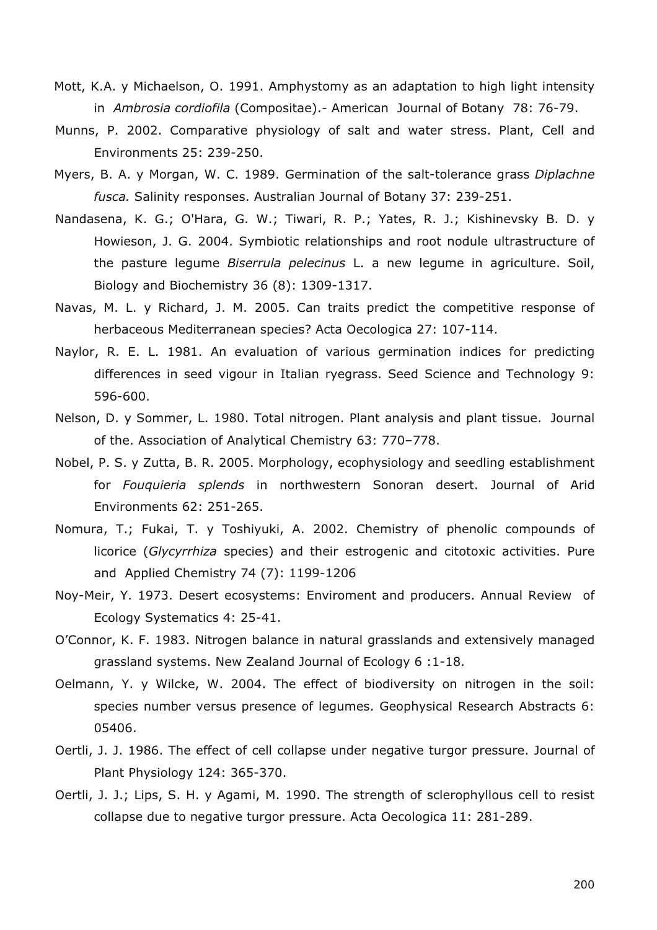- Mott, K.A. y Michaelson, O. 1991. Amphystomy as an adaptation to high light intensity in *Ambrosia cordiofila* (Compositae).- American Journal of Botany 78: 76-79.
- Munns, P. 2002. Comparative physiology of salt and water stress. Plant, Cell and Environments 25: 239-250.
- Myers, B. A. y Morgan, W. C. 1989. Germination of the salt-tolerance grass *Diplachne fusca.* Salinity responses. Australian Journal of Botany 37: 239-251.
- Nandasena, K. G.; O'Hara, G. W.; Tiwari, R. P.; Yates, R. J.; Kishinevsky B. D. y Howieson, J. G. 2004. Symbiotic relationships and root nodule ultrastructure of the pasture legume *Biserrula pelecinus* L. a new legume in agriculture. Soil, Biology and Biochemistry 36 (8): 1309-1317.
- Navas, M. L. y Richard, J. M. 2005. Can traits predict the competitive response of herbaceous Mediterranean species? Acta Oecologica 27: 107-114.
- Naylor, R. E. L. 1981. An evaluation of various germination indices for predicting differences in seed vigour in Italian ryegrass. Seed Science and Technology 9: 596-600.
- Nelson, D. y Sommer, L. 1980. Total nitrogen. Plant analysis and plant tissue. Journal of the. Association of Analytical Chemistry 63: 770–778.
- Nobel, P. S. y Zutta, B. R. 2005. Morphology, ecophysiology and seedling establishment for *Fouquieria splends* in northwestern Sonoran desert. Journal of Arid Environments 62: 251-265.
- Nomura, T.; Fukai, T. y Toshiyuki, A. 2002. Chemistry of phenolic compounds of licorice (*Glycyrrhiza* species) and their estrogenic and citotoxic activities. Pure and Applied Chemistry 74 (7): 1199-1206
- Noy-Meir, Y. 1973. Desert ecosystems: Enviroment and producers. Annual Review of Ecology Systematics 4: 25-41.
- O'Connor, K. F. 1983. Nitrogen balance in natural grasslands and extensively managed grassland systems. New Zealand Journal of Ecology 6 :1-18.
- Oelmann, Y. y Wilcke, W. 2004. The effect of biodiversity on nitrogen in the soil: species number versus presence of legumes. Geophysical Research Abstracts 6: 05406.
- Oertli, J. J. 1986. The effect of cell collapse under negative turgor pressure. Journal of Plant Physiology 124: 365-370.
- Oertli, J. J.; Lips, S. H. y Agami, M. 1990. The strength of sclerophyllous cell to resist collapse due to negative turgor pressure. Acta Oecologica 11: 281-289.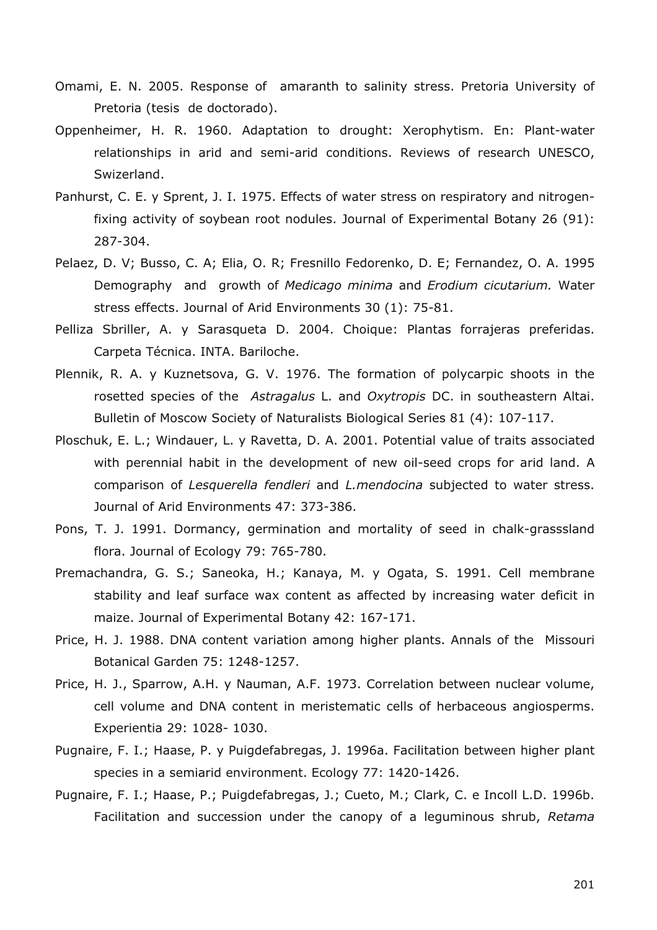- Omami, E. N. 2005. Response of amaranth to salinity stress. Pretoria University of Pretoria (tesis de doctorado).
- Oppenheimer, H. R. 1960. Adaptation to drought: Xerophytism. En: Plant-water relationships in arid and semi-arid conditions. Reviews of research UNESCO, Swizerland.
- Panhurst, C. E. y Sprent, J. I. 1975. Effects of water stress on respiratory and nitrogenfixing activity of soybean root nodules. Journal of Experimental Botany 26 (91): 287-304.
- Pelaez, D. V; Busso, C. A; Elia, O. R; Fresnillo Fedorenko, D. E; Fernandez, O. A. 1995 Demography and growth of *Medicago minima* and *Erodium cicutarium.* Water stress effects. Journal of Arid Environments 30 (1): 75-81.
- Pelliza Sbriller, A. y Sarasqueta D. 2004. Choique: Plantas forrajeras preferidas. Carpeta Técnica. INTA. Bariloche.
- Plennik, R. A. y Kuznetsova, G. V. 1976. The formation of polycarpic shoots in the rosetted species of the *Astragalus* L. and *Oxytropis* DC. in southeastern Altai. Bulletin of Moscow Society of Naturalists Biological Series 81 (4): 107-117.
- Ploschuk, E. L.; Windauer, L. y Ravetta, D. A. 2001. Potential value of traits associated with perennial habit in the development of new oil-seed crops for arid land. A comparison of *Lesquerella fendleri* and *L.mendocina* subjected to water stress. Journal of Arid Environments 47: 373-386.
- Pons, T. J. 1991. Dormancy, germination and mortality of seed in chalk-grasssland flora. Journal of Ecology 79: 765-780.
- Premachandra, G. S.; Saneoka, H.; Kanaya, M. y Ogata, S. 1991. Cell membrane stability and leaf surface wax content as affected by increasing water deficit in maize. Journal of Experimental Botany 42: 167-171.
- Price, H. J. 1988. DNA content variation among higher plants. Annals of the Missouri Botanical Garden 75: 1248-1257.
- Price, H. J., Sparrow, A.H. y Nauman, A.F. 1973. Correlation between nuclear volume, cell volume and DNA content in meristematic cells of herbaceous angiosperms. Experientia 29: 1028- 1030.
- Pugnaire, F. I.; Haase, P. y Puigdefabregas, J. 1996a. Facilitation between higher plant species in a semiarid environment. Ecology 77: 1420-1426.
- Pugnaire, F. I.; Haase, P.; Puigdefabregas, J.; Cueto, M.; Clark, C. e Incoll L.D. 1996b. Facilitation and succession under the canopy of a leguminous shrub, *Retama*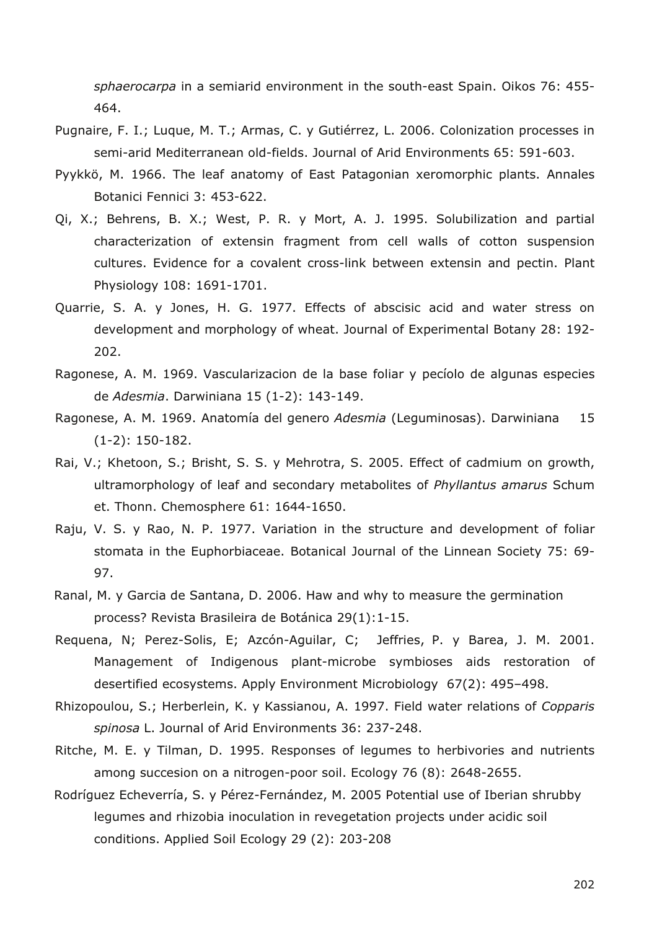*sphaerocarpa* in a semiarid environment in the south-east Spain. Oikos 76: 455- 464.

- Pugnaire, F. I.; Luque, M. T.; Armas, C. y Gutiérrez, L. 2006. Colonization processes in semi-arid Mediterranean old-fields. Journal of Arid Environments 65: 591-603.
- Pyykkö, M. 1966. The leaf anatomy of East Patagonian xeromorphic plants. Annales Botanici Fennici 3: 453-622.
- Qi, X.; Behrens, B. X.; West, P. R. y Mort, A. J. 1995. Solubilization and partial characterization of extensin fragment from cell walls of cotton suspension cultures. Evidence for a covalent cross-link between extensin and pectin. Plant Physiology 108: 1691-1701.
- Quarrie, S. A. y Jones, H. G. 1977. Effects of abscisic acid and water stress on development and morphology of wheat. Journal of Experimental Botany 28: 192- 202.
- Ragonese, A. M. 1969. Vascularizacion de la base foliar y pecíolo de algunas especies de *Adesmia*. Darwiniana 15 (1-2): 143-149.
- Ragonese, A. M. 1969. Anatomía del genero *Adesmia* (Leguminosas). Darwiniana 15 (1-2): 150-182.
- Rai, V.; Khetoon, S.; Brisht, S. S. y Mehrotra, S. 2005. Effect of cadmium on growth, ultramorphology of leaf and secondary metabolites of *Phyllantus amarus* Schum et. Thonn. Chemosphere 61: 1644-1650.
- Raju, V. S. y Rao, N. P. 1977. Variation in the structure and development of foliar stomata in the Euphorbiaceae. Botanical Journal of the Linnean Society 75: 69- 97.
- Ranal, M. y Garcia de Santana, D. 2006. Haw and why to measure the germination process? Revista Brasileira de Botánica 29(1):1-15.
- Requena, N; Perez-Solis, E; Azcón-Aguilar, C; Jeffries, P. y Barea, J. M. 2001. Management of Indigenous plant-microbe symbioses aids restoration of desertified ecosystems. Apply Environment Microbiology 67(2): 495–498.
- Rhizopoulou, S.; Herberlein, K. y Kassianou, A. 1997. Field water relations of *Copparis spinosa* L. Journal of Arid Environments 36: 237-248.
- Ritche, M. E. y Tilman, D. 1995. Responses of legumes to herbivories and nutrients among succesion on a nitrogen-poor soil. Ecology 76 (8): 2648-2655.
- Rodríguez Echeverría, S. y Pérez-Fernández, M. 2005 Potential use of Iberian shrubby legumes and rhizobia inoculation in revegetation projects under acidic soil conditions. Applied Soil Ecology 29 (2): 203-208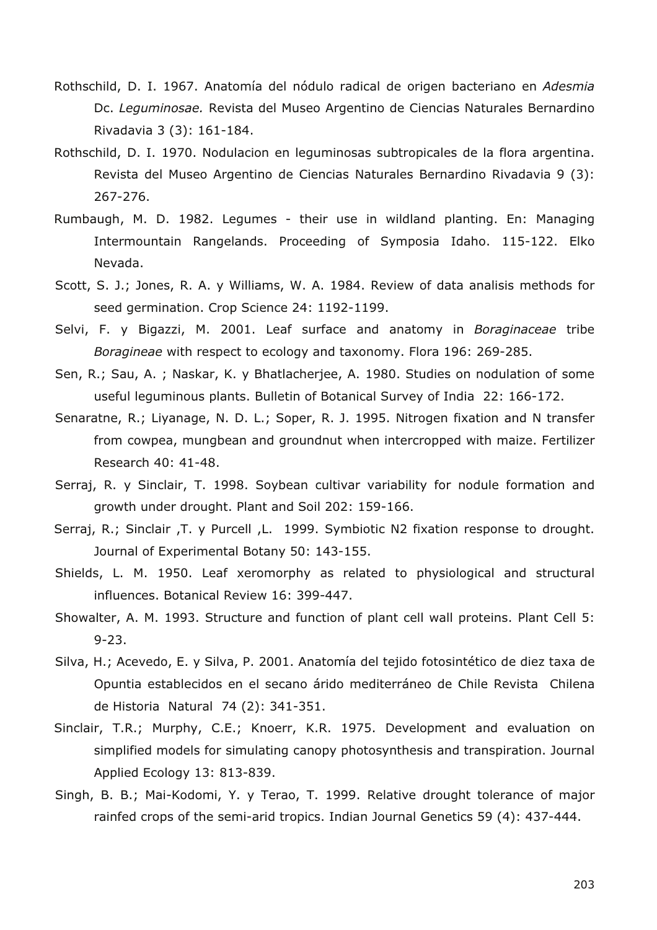- Rothschild, D. I. 1967. Anatomía del nódulo radical de origen bacteriano en *Adesmia* Dc. *Leguminosae.* Revista del Museo Argentino de Ciencias Naturales Bernardino Rivadavia 3 (3): 161-184.
- Rothschild, D. I. 1970. Nodulacion en leguminosas subtropicales de la flora argentina. Revista del Museo Argentino de Ciencias Naturales Bernardino Rivadavia 9 (3): 267-276.
- Rumbaugh, M. D. 1982. Legumes their use in wildland planting. En: Managing Intermountain Rangelands. Proceeding of Symposia Idaho. 115-122. Elko Nevada.
- Scott, S. J.; Jones, R. A. y Williams, W. A. 1984. Review of data analisis methods for seed germination. Crop Science 24: 1192-1199.
- Selvi, F. y Bigazzi, M. 2001. Leaf surface and anatomy in *Boraginaceae* tribe *Boragineae* with respect to ecology and taxonomy. Flora 196: 269-285.
- Sen, R.; Sau, A. ; Naskar, K. y Bhatlacherjee, A. 1980. Studies on nodulation of some useful leguminous plants. Bulletin of Botanical Survey of India 22: 166-172.
- Senaratne, R.; Liyanage, N. D. L.; Soper, R. J. 1995. Nitrogen fixation and N transfer from cowpea, mungbean and groundnut when intercropped with maize. Fertilizer Research 40: 41-48.
- Serraj, R. y Sinclair, T. 1998. Soybean cultivar variability for nodule formation and growth under drought. Plant and Soil 202: 159-166.
- Serraj, R.; Sinclair ,T. y Purcell ,L. 1999. Symbiotic N2 fixation response to drought. Journal of Experimental Botany 50: 143-155.
- Shields, L. M. 1950. Leaf xeromorphy as related to physiological and structural influences. Botanical Review 16: 399-447.
- Showalter, A. M. 1993. Structure and function of plant cell wall proteins. Plant Cell 5: 9-23.
- Silva, H.; Acevedo, E. y Silva, P. 2001. Anatomía del tejido fotosintético de diez taxa de Opuntia establecidos en el secano árido mediterráneo de Chile Revista Chilena de Historia Natural 74 (2): 341-351.
- Sinclair, T.R.; Murphy, C.E.; Knoerr, K.R. 1975. Development and evaluation on simplified models for simulating canopy photosynthesis and transpiration. Journal Applied Ecology 13: 813-839.
- Singh, B. B.; Mai-Kodomi, Y. y Terao, T. 1999. Relative drought tolerance of major rainfed crops of the semi-arid tropics. Indian Journal Genetics 59 (4): 437-444.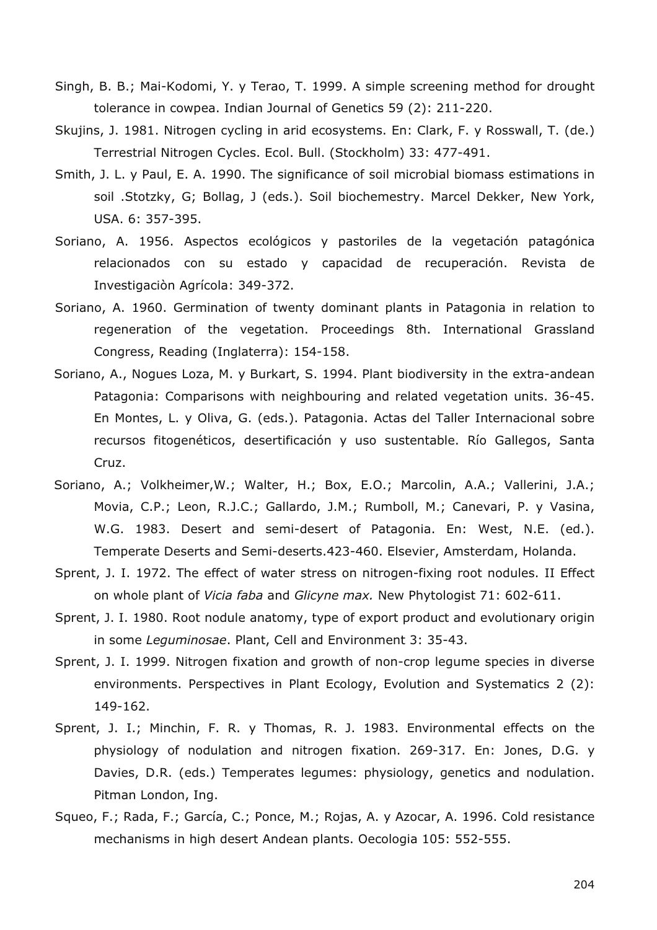- Singh, B. B.; Mai-Kodomi, Y. y Terao, T. 1999. A simple screening method for drought tolerance in cowpea. Indian Journal of Genetics 59 (2): 211-220.
- Skujins, J. 1981. Nitrogen cycling in arid ecosystems. En: Clark, F. y Rosswall, T. (de.) Terrestrial Nitrogen Cycles. Ecol. Bull. (Stockholm) 33: 477-491.
- Smith, J. L. y Paul, E. A. 1990. The significance of soil microbial biomass estimations in soil .Stotzky, G; Bollag, J (eds.). Soil biochemestry. Marcel Dekker, New York, USA. 6: 357-395.
- Soriano, A. 1956. Aspectos ecológicos y pastoriles de la vegetación patagónica relacionados con su estado y capacidad de recuperación. Revista de Investigaciòn Agrícola: 349-372.
- Soriano, A. 1960. Germination of twenty dominant plants in Patagonia in relation to regeneration of the vegetation. Proceedings 8th. International Grassland Congress, Reading (Inglaterra): 154-158.
- Soriano, A., Nogues Loza, M. y Burkart, S. 1994. Plant biodiversity in the extra-andean Patagonia: Comparisons with neighbouring and related vegetation units. 36-45. En Montes, L. y Oliva, G. (eds.). Patagonia. Actas del Taller Internacional sobre recursos fitogenéticos, desertificación y uso sustentable. Río Gallegos, Santa Cruz.
- Soriano, A.; Volkheimer,W.; Walter, H.; Box, E.O.; Marcolin, A.A.; Vallerini, J.A.; Movia, C.P.; Leon, R.J.C.; Gallardo, J.M.; Rumboll, M.; Canevari, P. y Vasina, W.G. 1983. Desert and semi-desert of Patagonia. En: West, N.E. (ed.). Temperate Deserts and Semi-deserts.423-460. Elsevier, Amsterdam, Holanda.
- Sprent, J. I. 1972. The effect of water stress on nitrogen-fixing root nodules. II Effect on whole plant of *Vicia faba* and *Glicyne max.* New Phytologist 71: 602-611.
- Sprent, J. I. 1980. Root nodule anatomy, type of export product and evolutionary origin in some *Leguminosae*. Plant, Cell and Environment 3: 35-43.
- Sprent, J. I. 1999. Nitrogen fixation and growth of non-crop legume species in diverse environments. Perspectives in Plant Ecology, Evolution and Systematics 2 (2): 149-162.
- Sprent, J. I.; Minchin, F. R. y Thomas, R. J. 1983. Environmental effects on the physiology of nodulation and nitrogen fixation. 269-317. En: Jones, D.G. y Davies, D.R. (eds.) Temperates legumes: physiology, genetics and nodulation. Pitman London, Ing.
- Squeo, F.; Rada, F.; García, C.; Ponce, M.; Rojas, A. y Azocar, A. 1996. Cold resistance mechanisms in high desert Andean plants. Oecologia 105: 552-555.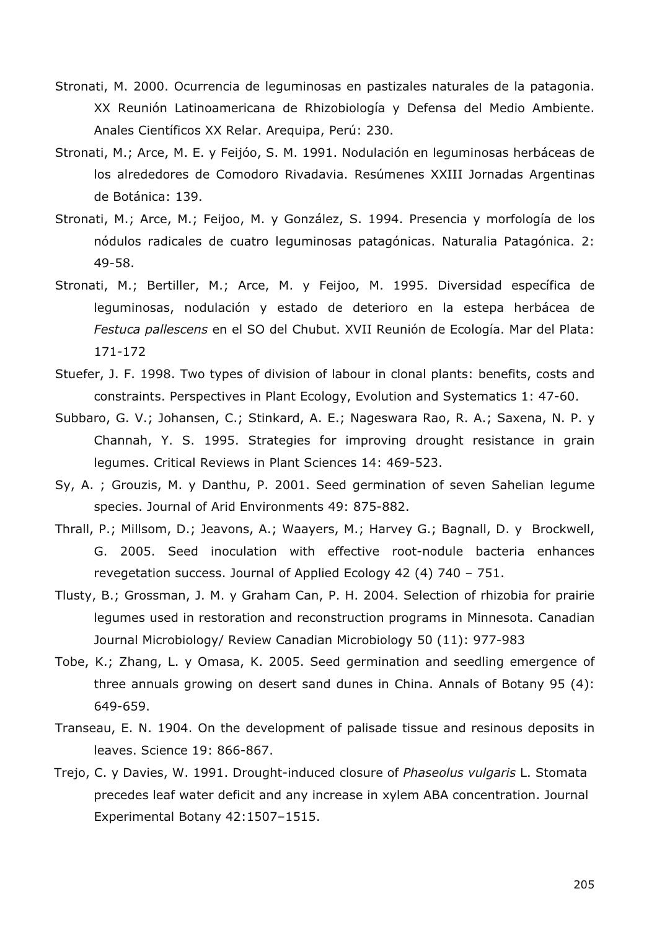- Stronati, M. 2000. Ocurrencia de leguminosas en pastizales naturales de la patagonia. XX Reunión Latinoamericana de Rhizobiología y Defensa del Medio Ambiente. Anales Científicos XX Relar. Arequipa, Perú: 230.
- Stronati, M.; Arce, M. E. y Feijóo, S. M. 1991. Nodulación en leguminosas herbáceas de los alrededores de Comodoro Rivadavia. Resúmenes XXIII Jornadas Argentinas de Botánica: 139.
- Stronati, M.; Arce, M.; Feijoo, M. y González, S. 1994. Presencia y morfología de los nódulos radicales de cuatro leguminosas patagónicas. Naturalia Patagónica. 2: 49-58.
- Stronati, M.; Bertiller, M.; Arce, M. y Feijoo, M. 1995. Diversidad específica de leguminosas, nodulación y estado de deterioro en la estepa herbácea de *Festuca pallescens* en el SO del Chubut. XVII Reunión de Ecología. Mar del Plata: 171-172
- Stuefer, J. F. 1998. Two types of division of labour in clonal plants: benefits, costs and constraints. Perspectives in Plant Ecology, Evolution and Systematics 1: 47-60.
- Subbaro, G. V.; Johansen, C.; Stinkard, A. E.; Nageswara Rao, R. A.; Saxena, N. P. y Channah, Y. S. 1995. Strategies for improving drought resistance in grain legumes. Critical Reviews in Plant Sciences 14: 469-523.
- Sy, A. ; Grouzis, M. y Danthu, P. 2001. Seed germination of seven Sahelian legume species. Journal of Arid Environments 49: 875-882.
- Thrall, P.; Millsom, D.; Jeavons, A.; Waayers, M.; Harvey G.; Bagnall, D. y Brockwell, G. 2005. Seed inoculation with effective root-nodule bacteria enhances revegetation success. Journal of Applied Ecology 42 (4) 740 – 751.
- Tlusty, B.; Grossman, J. M. y Graham Can, P. H. 2004. Selection of rhizobia for prairie legumes used in restoration and reconstruction programs in Minnesota. Canadian Journal Microbiology/ Review Canadian Microbiology 50 (11): 977-983
- Tobe, K.; Zhang, L. y Omasa, K. 2005. Seed germination and seedling emergence of three annuals growing on desert sand dunes in China. Annals of Botany 95 (4): 649-659.
- Transeau, E. N. 1904. On the development of palisade tissue and resinous deposits in leaves. Science 19: 866-867.
- Trejo, C. y Davies, W. 1991. Drought-induced closure of *Phaseolus vulgaris* L. Stomata precedes leaf water deficit and any increase in xylem ABA concentration. Journal Experimental Botany 42:1507–1515.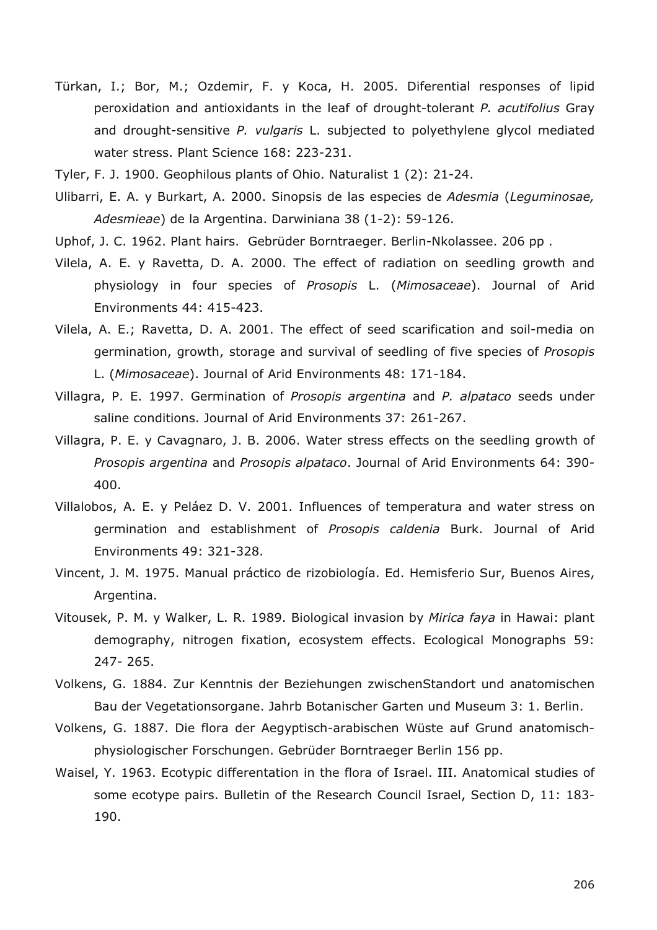- Türkan, I.; Bor, M.; Ozdemir, F. y Koca, H. 2005. Diferential responses of lipid peroxidation and antioxidants in the leaf of drought-tolerant *P. acutifolius* Gray and drought-sensitive *P. vulgaris* L. subjected to polyethylene glycol mediated water stress. Plant Science 168: 223-231.
- Tyler, F. J. 1900. Geophilous plants of Ohio. Naturalist 1 (2): 21-24.
- Ulibarri, E. A. y Burkart, A. 2000. Sinopsis de las especies de *Adesmia* (*Leguminosae, Adesmieae*) de la Argentina. Darwiniana 38 (1-2): 59-126.
- Uphof, J. C. 1962. Plant hairs. Gebrüder Borntraeger. Berlin-Nkolassee. 206 pp .
- Vilela, A. E. y Ravetta, D. A. 2000. The effect of radiation on seedling growth and physiology in four species of *Prosopis* L. (*Mimosaceae*). Journal of Arid Environments 44: 415-423.
- Vilela, A. E.; Ravetta, D. A. 2001. The effect of seed scarification and soil-media on germination, growth, storage and survival of seedling of five species of *Prosopis* L. (*Mimosaceae*). Journal of Arid Environments 48: 171-184.
- Villagra, P. E. 1997. Germination of *Prosopis argentina* and *P. alpataco* seeds under saline conditions. Journal of Arid Environments 37: 261-267.
- Villagra, P. E. y Cavagnaro, J. B. 2006. Water stress effects on the seedling growth of *Prosopis argentina* and *Prosopis alpataco*. Journal of Arid Environments 64: 390- 400.
- Villalobos, A. E. y Peláez D. V. 2001. Influences of temperatura and water stress on germination and establishment of *Prosopis caldenia* Burk. Journal of Arid Environments 49: 321-328.
- Vincent, J. M. 1975. Manual práctico de rizobiología. Ed. Hemisferio Sur, Buenos Aires, Argentina.
- Vitousek, P. M. y Walker, L. R. 1989. Biological invasion by *Mirica faya* in Hawai: plant demography, nitrogen fixation, ecosystem effects. Ecological Monographs 59: 247- 265.
- Volkens, G. 1884. Zur Kenntnis der Beziehungen zwischenStandort und anatomischen Bau der Vegetationsorgane. Jahrb Botanischer Garten und Museum 3: 1. Berlin.
- Volkens, G. 1887. Die flora der Aegyptisch-arabischen Wüste auf Grund anatomischphysiologischer Forschungen. Gebrüder Borntraeger Berlin 156 pp.
- Waisel, Y. 1963. Ecotypic differentation in the flora of Israel. III. Anatomical studies of some ecotype pairs. Bulletin of the Research Council Israel, Section D, 11: 183- 190.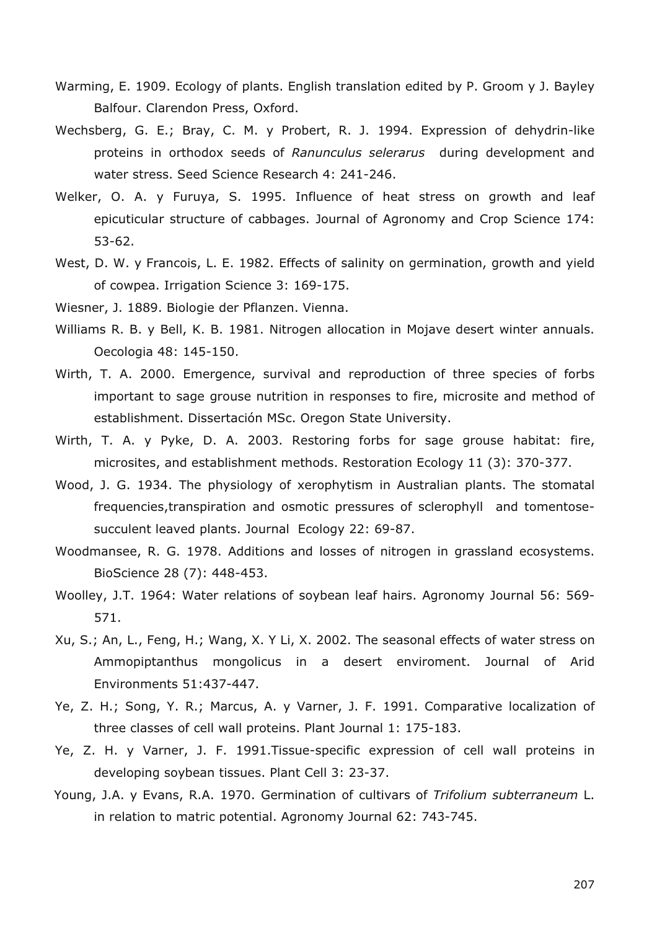- Warming, E. 1909. Ecology of plants. English translation edited by P. Groom y J. Bayley Balfour. Clarendon Press, Oxford.
- Wechsberg, G. E.; Bray, C. M. y Probert, R. J. 1994. Expression of dehydrin-like proteins in orthodox seeds of *Ranunculus selerarus* during development and water stress. Seed Science Research 4: 241-246.
- Welker, O. A. y Furuya, S. 1995. Influence of heat stress on growth and leaf epicuticular structure of cabbages. Journal of Agronomy and Crop Science 174: 53-62.
- West, D. W. y Francois, L. E. 1982. Effects of salinity on germination, growth and yield of cowpea. Irrigation Science 3: 169-175.
- Wiesner, J. 1889. Biologie der Pflanzen. Vienna.
- Williams R. B. y Bell, K. B. 1981. Nitrogen allocation in Mojave desert winter annuals. Oecologia 48: 145-150.
- Wirth, T. A. 2000. Emergence, survival and reproduction of three species of forbs important to sage grouse nutrition in responses to fire, microsite and method of establishment. Dissertación MSc. Oregon State University.
- Wirth, T. A. y Pyke, D. A. 2003. Restoring forbs for sage grouse habitat: fire, microsites, and establishment methods. Restoration Ecology 11 (3): 370-377.
- Wood, J. G. 1934. The physiology of xerophytism in Australian plants. The stomatal frequencies,transpiration and osmotic pressures of sclerophyll and tomentosesucculent leaved plants. Journal Ecology 22: 69-87.
- Woodmansee, R. G. 1978. Additions and losses of nitrogen in grassland ecosystems. BioScience 28 (7): 448-453.
- Woolley, J.T. 1964: Water relations of soybean leaf hairs. Agronomy Journal 56: 569- 571.
- Xu, S.; An, L., Feng, H.; Wang, X. Y Li, X. 2002. The seasonal effects of water stress on Ammopiptanthus mongolicus in a desert enviroment. Journal of Arid Environments 51:437-447.
- Ye, Z. H.; Song, Y. R.; Marcus, A. y Varner, J. F. 1991. Comparative localization of three classes of cell wall proteins. Plant Journal 1: 175-183.
- Ye, Z. H. y Varner, J. F. 1991.Tissue-specific expression of cell wall proteins in developing soybean tissues. Plant Cell 3: 23-37.
- Young, J.A. y Evans, R.A. 1970. Germination of cultivars of *Trifolium subterraneum* L. in relation to matric potential. Agronomy Journal 62: 743-745.